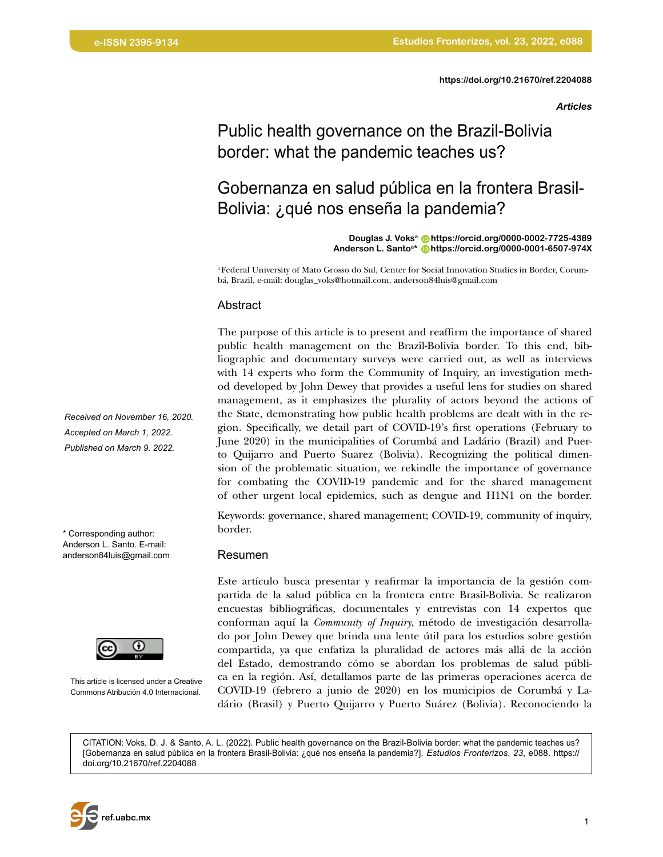*Articles*

# Public health governance on the Brazil-Bolivia border: what the pandemic teaches us?

# Gobernanza en salud pública en la frontera Brasil-Bolivia: ¿qué nos enseña la pandemia?

**Douglas J. Voksa [https://orcid.org/0000-0002-7725-4389](https://orcid.org/0000-0002-7725-4389 ) Anderson L. Santoa\* [https://orcid.org/0000-0001-6507-974X](https://orcid.org/0000-0001-6507-974X )**

a Federal University of Mato Grosso do Sul, Center for Social Innovation Studies in Border, Corumbá, Brazil, e-mail: douglas\_voks@hotmail.com, anderson84luis@gmail.com

#### Abstract

The purpose of this article is to present and reaffirm the importance of shared public health management on the Brazil-Bolivia border. To this end, bibliographic and documentary surveys were carried out, as well as interviews with 14 experts who form the Community of Inquiry, an investigation method developed by John Dewey that provides a useful lens for studies on shared management, as it emphasizes the plurality of actors beyond the actions of the State, demonstrating how public health problems are dealt with in the region. Specifically, we detail part of COVID-19's first operations (February to June 2020) in the municipalities of Corumbá and Ladário (Brazil) and Puerto Quijarro and Puerto Suarez (Bolivia). Recognizing the political dimension of the problematic situation, we rekindle the importance of governance for combating the COVID-19 pandemic and for the shared management of other urgent local epidemics, such as dengue and H1N1 on the border.

Keywords: governance, shared management; COVID-19, community of inquiry, border.

#### Resumen

Este artículo busca presentar y reafirmar la importancia de la gestión compartida de la salud pública en la frontera entre Brasil-Bolivia. Se realizaron encuestas bibliográficas, documentales y entrevistas con 14 expertos que conforman aquí la *Community of Inquiry*, método de investigación desarrollado por John Dewey que brinda una lente útil para los estudios sobre gestión compartida, ya que enfatiza la pluralidad de actores más allá de la acción del Estado, demostrando cómo se abordan los problemas de salud pública en la región. Así, detallamos parte de las primeras operaciones acerca de COVID-19 (febrero a junio de 2020) en los municipios de Corumbá y Ladário (Brasil) y Puerto Quijarro y Puerto Suárez (Bolivia). Reconociendo la

CITATION: Voks, D. J. & Santo, A. L. (2022). Public health governance on the Brazil-Bolivia border: what the pandemic teaches us? [Gobernanza en salud pública [e](https://doi.org/10.21670/ref.2203087 )n la frontera Brasil-Bolivia: ¿qué nos enseña la pandemia?]. *Estudios Fronterizos*, *23*, e088. [https://](https://doi.org/10.21670/ref.2204088) [doi.org/10.21670/ref.2204088](https://doi.org/10.21670/ref.2204088)

*Received on November 16, 2020. Accepted on March 1, 2022. Published on March 9. 2022.*

\* Corresponding author: Anderson L. Santo. E-mail: anderson84luis@gmail.com



This article is licensed under a Creative Commons Atribución 4.0 Internacional.

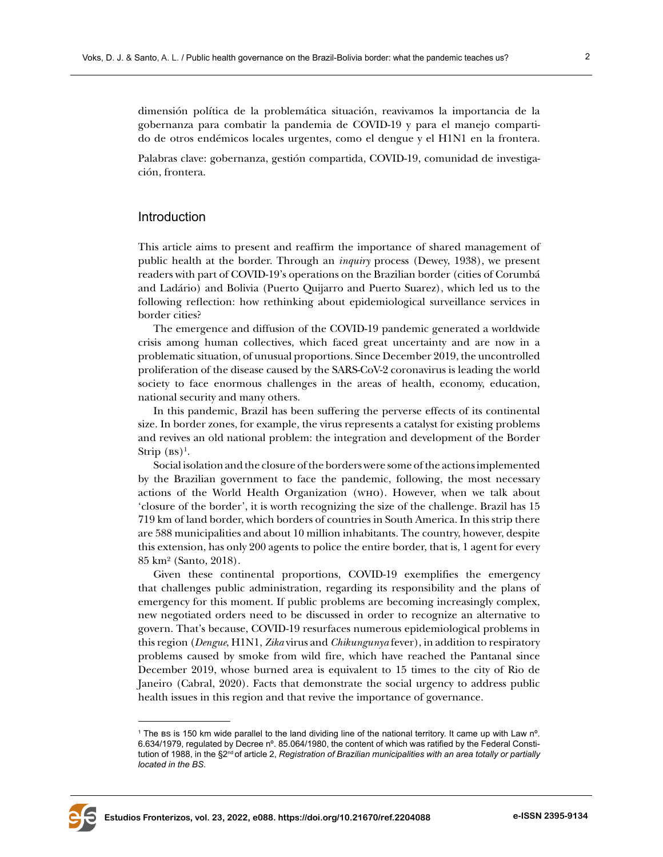dimensión política de la problemática situación, reavivamos la importancia de la gobernanza para combatir la pandemia de COVID-19 y para el manejo compartido de otros endémicos locales urgentes, como el dengue y el H1N1 en la frontera.

Palabras clave: gobernanza, gestión compartida, COVID-19, comunidad de investigación, frontera.

### Introduction

This article aims to present and reaffirm the importance of shared management of public health at the border. Through an *inquiry* process (Dewey, 1938), we present readers with part of COVID-19's operations on the Brazilian border (cities of Corumbá and Ladário) and Bolivia (Puerto Quijarro and Puerto Suarez), which led us to the following reflection: how rethinking about epidemiological surveillance services in border cities?

The emergence and diffusion of the COVID-19 pandemic generated a worldwide crisis among human collectives, which faced great uncertainty and are now in a problematic situation, of unusual proportions. Since December 2019, the uncontrolled proliferation of the disease caused by the SARS-CoV-2 coronavirus is leading the world society to face enormous challenges in the areas of health, economy, education, national security and many others.

In this pandemic, Brazil has been suffering the perverse effects of its continental size. In border zones, for example, the virus represents a catalyst for existing problems and revives an old national problem: the integration and development of the Border Strip  $(M)$ <sup>1</sup>.

Social isolation and the closure of the borders were some of the actions implemented by the Brazilian government to face the pandemic, following, the most necessary actions of the World Health Organization (who). However, when we talk about 'closure of the border', it is worth recognizing the size of the challenge. Brazil has 15 719 km of land border, which borders of countries in South America. In this strip there are 588 municipalities and about 10 million inhabitants. The country, however, despite this extension, has only 200 agents to police the entire border, that is, 1 agent for every 85 km² (Santo, 2018).

Given these continental proportions, COVID-19 exemplifies the emergency that challenges public administration, regarding its responsibility and the plans of emergency for this moment. If public problems are becoming increasingly complex, new negotiated orders need to be discussed in order to recognize an alternative to govern. That's because, COVID-19 resurfaces numerous epidemiological problems in this region (*Dengue*, H1N1, *Zika* virus and *Chikungunya* fever), in addition to respiratory problems caused by smoke from wild fire, which have reached the Pantanal since December 2019, whose burned area is equivalent to 15 times to the city of Rio de Janeiro (Cabral, 2020). Facts that demonstrate the social urgency to address public health issues in this region and that revive the importance of governance.



<sup>1</sup> The bs is 150 km wide parallel to the land dividing line of the national territory. It came up with Law nº. 6.634/1979, regulated by Decree nº. 85.064/1980, the content of which was ratified by the Federal Constitution of 1988, in the §2<sup>nd</sup> of article 2, *Registration of Brazilian municipalities with an area totally or partially located in the BS*.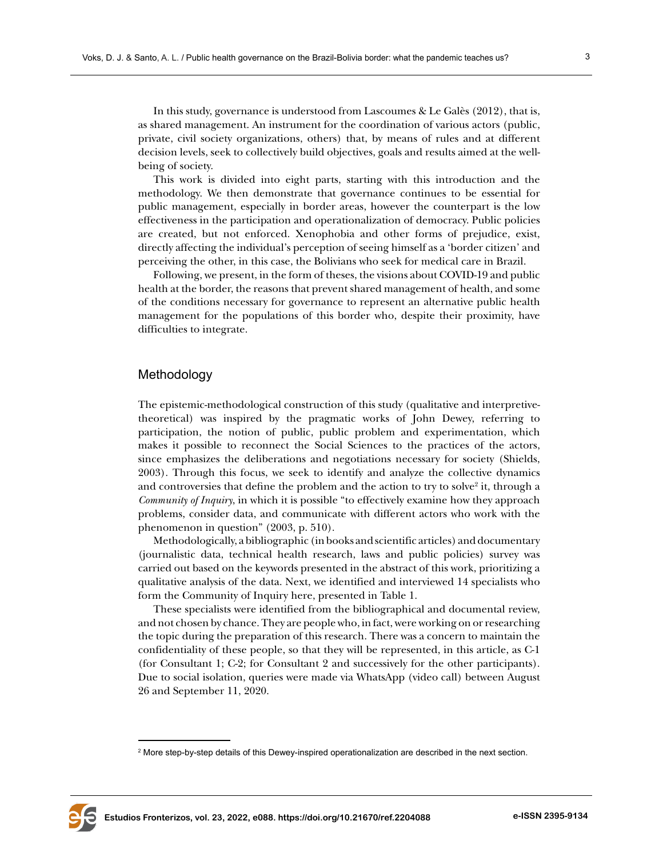In this study, governance is understood from Lascoumes & Le Galès (2012), that is, as shared management. An instrument for the coordination of various actors (public, private, civil society organizations, others) that, by means of rules and at different decision levels, seek to collectively build objectives, goals and results aimed at the wellbeing of society.

This work is divided into eight parts, starting with this introduction and the methodology. We then demonstrate that governance continues to be essential for public management, especially in border areas, however the counterpart is the low effectiveness in the participation and operationalization of democracy. Public policies are created, but not enforced. Xenophobia and other forms of prejudice, exist, directly affecting the individual's perception of seeing himself as a 'border citizen' and perceiving the other, in this case, the Bolivians who seek for medical care in Brazil.

Following, we present, in the form of theses, the visions about COVID-19 and public health at the border, the reasons that prevent shared management of health, and some of the conditions necessary for governance to represent an alternative public health management for the populations of this border who, despite their proximity, have difficulties to integrate.

## Methodology

The epistemic-methodological construction of this study (qualitative and interpretivetheoretical) was inspired by the pragmatic works of John Dewey, referring to participation, the notion of public, public problem and experimentation, which makes it possible to reconnect the Social Sciences to the practices of the actors, since emphasizes the deliberations and negotiations necessary for society (Shields, 2003). Through this focus, we seek to identify and analyze the collective dynamics and controversies that define the problem and the action to try to solve $^2$  it, through a *Community of Inquiry*, in which it is possible "to effectively examine how they approach problems, consider data, and communicate with different actors who work with the phenomenon in question" (2003, p. 510).

Methodologically, a bibliographic (in books and scientific articles) and documentary (journalistic data, technical health research, laws and public policies) survey was carried out based on the keywords presented in the abstract of this work, prioritizing a qualitative analysis of the data. Next, we identified and interviewed 14 specialists who form the Community of Inquiry here, presented in Table 1.

These specialists were identified from the bibliographical and documental review, and not chosen by chance. They are people who, in fact, were working on or researching the topic during the preparation of this research. There was a concern to maintain the confidentiality of these people, so that they will be represented, in this article, as C-1 (for Consultant 1; C-2; for Consultant 2 and successively for the other participants). Due to social isolation, queries were made via WhatsApp (video call) between August 26 and September 11, 2020.



 $^{\rm 2}$  More step-by-step details of this Dewey-inspired operationalization are described in the next section.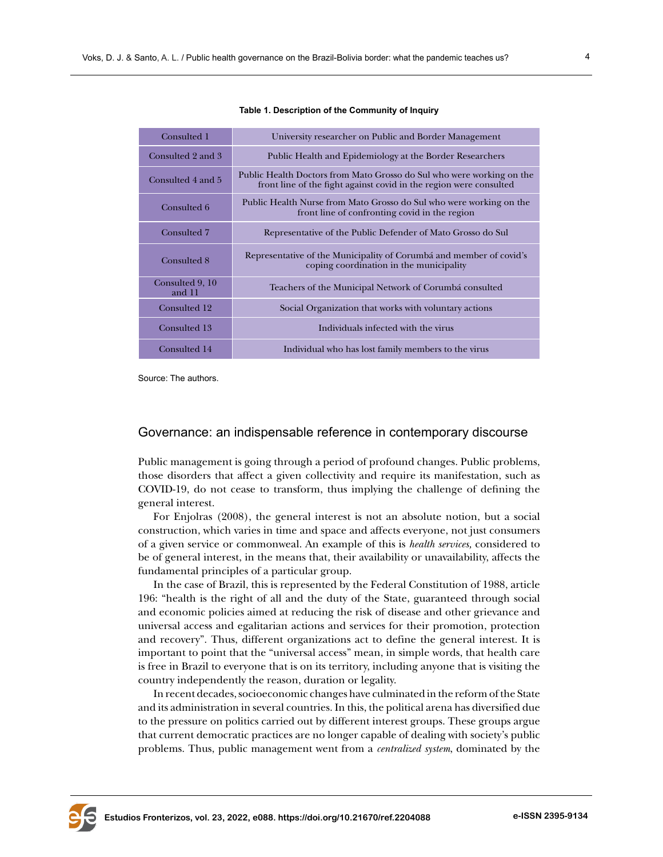| Consulted 1               | University researcher on Public and Border Management                                                                                       |
|---------------------------|---------------------------------------------------------------------------------------------------------------------------------------------|
| Consulted 2 and 3         | Public Health and Epidemiology at the Border Researchers                                                                                    |
| Consulted 4 and 5         | Public Health Doctors from Mato Grosso do Sul who were working on the<br>front line of the fight against covid in the region were consulted |
| Consulted 6               | Public Health Nurse from Mato Grosso do Sul who were working on the<br>front line of confronting covid in the region                        |
| Consulted 7               | Representative of the Public Defender of Mato Grosso do Sul                                                                                 |
| Consulted 8               | Representative of the Municipality of Corumbá and member of covid's<br>coping coordination in the municipality                              |
| Consulted 9, 10<br>and 11 | Teachers of the Municipal Network of Corumbá consulted                                                                                      |
| Consulted 12              | Social Organization that works with voluntary actions                                                                                       |
| Consulted 13              | Individuals infected with the virus                                                                                                         |
| Consulted 14              | Individual who has lost family members to the virus                                                                                         |

**Table 1. Description of the Community of Inquiry**

Source: The authors.

## Governance: an indispensable reference in contemporary discourse

Public management is going through a period of profound changes. Public problems, those disorders that affect a given collectivity and require its manifestation, such as COVID-19, do not cease to transform, thus implying the challenge of defining the general interest.

For Enjolras (2008), the general interest is not an absolute notion, but a social construction, which varies in time and space and affects everyone, not just consumers of a given service or commonweal. An example of this is *health services,* considered to be of general interest, in the means that, their availability or unavailability, affects the fundamental principles of a particular group.

In the case of Brazil, this is represented by the Federal Constitution of 1988, article 196: "health is the right of all and the duty of the State, guaranteed through social and economic policies aimed at reducing the risk of disease and other grievance and universal access and egalitarian actions and services for their promotion, protection and recovery". Thus, different organizations act to define the general interest. It is important to point that the "universal access" mean, in simple words, that health care is free in Brazil to everyone that is on its territory, including anyone that is visiting the country independently the reason, duration or legality.

In recent decades, socioeconomic changes have culminated in the reform of the State and its administration in several countries. In this, the political arena has diversified due to the pressure on politics carried out by different interest groups. These groups argue that current democratic practices are no longer capable of dealing with society's public problems. Thus, public management went from a *centralized system*, dominated by the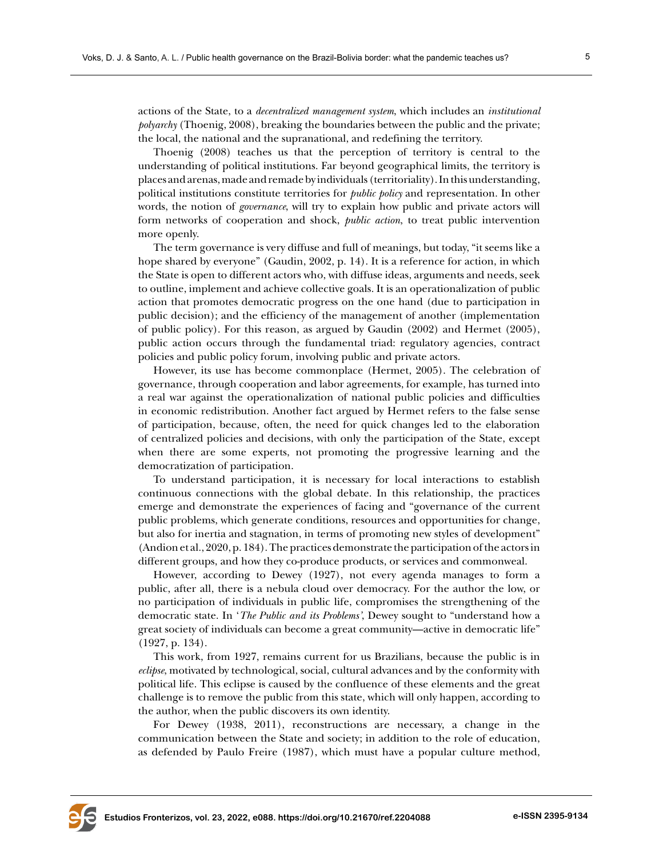actions of the State, to a *decentralized management system*, which includes an *institutional polyarchy* (Thoenig, 2008), breaking the boundaries between the public and the private; the local, the national and the supranational, and redefining the territory.

Thoenig (2008) teaches us that the perception of territory is central to the understanding of political institutions. Far beyond geographical limits, the territory is places and arenas, made and remade by individuals (territoriality). In this understanding, political institutions constitute territories for *public policy* and representation. In other words, the notion of *governance*, will try to explain how public and private actors will form networks of cooperation and shock, *public action*, to treat public intervention more openly.

The term governance is very diffuse and full of meanings, but today, "it seems like a hope shared by everyone" (Gaudin, 2002, p. 14). It is a reference for action, in which the State is open to different actors who, with diffuse ideas, arguments and needs, seek to outline, implement and achieve collective goals. It is an operationalization of public action that promotes democratic progress on the one hand (due to participation in public decision); and the efficiency of the management of another (implementation of public policy). For this reason, as argued by Gaudin (2002) and Hermet (2005), public action occurs through the fundamental triad: regulatory agencies, contract policies and public policy forum, involving public and private actors.

However, its use has become commonplace (Hermet, 2005). The celebration of governance, through cooperation and labor agreements, for example, has turned into a real war against the operationalization of national public policies and difficulties in economic redistribution. Another fact argued by Hermet refers to the false sense of participation, because, often, the need for quick changes led to the elaboration of centralized policies and decisions, with only the participation of the State, except when there are some experts, not promoting the progressive learning and the democratization of participation.

To understand participation, it is necessary for local interactions to establish continuous connections with the global debate. In this relationship, the practices emerge and demonstrate the experiences of facing and "governance of the current public problems, which generate conditions, resources and opportunities for change, but also for inertia and stagnation, in terms of promoting new styles of development" (Andion et al., 2020, p. 184). The practices demonstrate the participation of the actors in different groups, and how they co-produce products, or services and commonweal.

However, according to Dewey (1927), not every agenda manages to form a public, after all, there is a nebula cloud over democracy. For the author the low, or no participation of individuals in public life, compromises the strengthening of the democratic state. In '*The Public and its Problems'*, Dewey sought to "understand how a great society of individuals can become a great community—active in democratic life" (1927, p. 134).

This work, from 1927, remains current for us Brazilians, because the public is in *eclipse*, motivated by technological, social, cultural advances and by the conformity with political life. This eclipse is caused by the confluence of these elements and the great challenge is to remove the public from this state, which will only happen, according to the author, when the public discovers its own identity.

For Dewey (1938, 2011), reconstructions are necessary, a change in the communication between the State and society; in addition to the role of education, as defended by Paulo Freire (1987), which must have a popular culture method,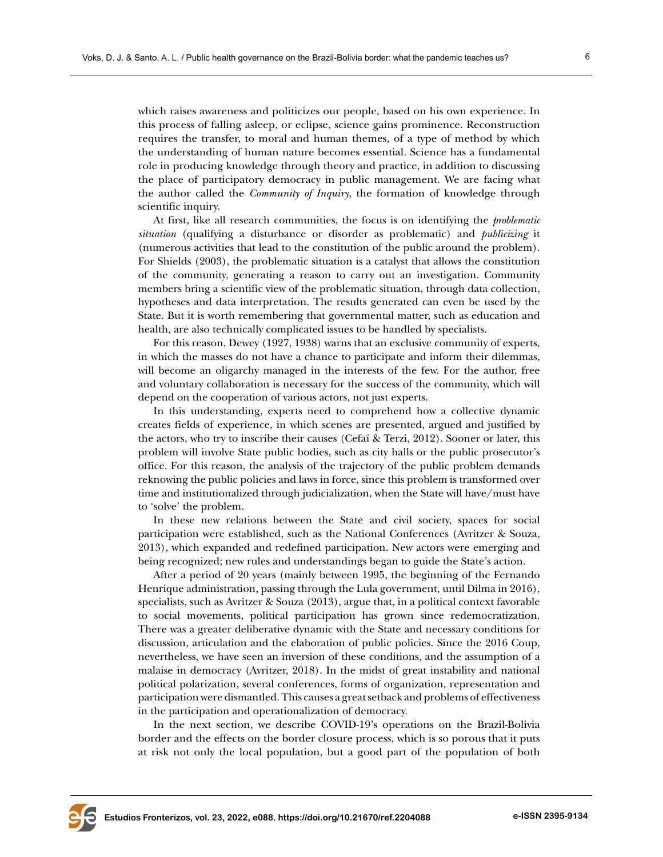which raises awareness and politicizes our people, based on his own experience. In this process of falling asleep, or eclipse, science gains prominence. Reconstruction requires the transfer, to moral and human themes, of a type of method by which the understanding of human nature becomes essential. Science has a fundamental role in producing knowledge through theory and practice, in addition to discussing the place of participatory democracy in public management. We are facing what the author called the *Community of Inquiry*, the formation of knowledge through scientific inquiry.

At first, like all research communities, the focus is on identifying the *problematic situation* (qualifying a disturbance or disorder as problematic) and *publicizing* it (numerous activities that lead to the constitution of the public around the problem). For Shields (2003), the problematic situation is a catalyst that allows the constitution of the community, generating a reason to carry out an investigation. Community members bring a scientific view of the problematic situation, through data collection, hypotheses and data interpretation. The results generated can even be used by the State. But it is worth remembering that governmental matter, such as education and health, are also technically complicated issues to be handled by specialists.

For this reason, Dewey (1927, 1938) warns that an exclusive community of experts, in which the masses do not have a chance to participate and inform their dilemmas, will become an oligarchy managed in the interests of the few. For the author, free and voluntary collaboration is necessary for the success of the community, which will depend on the cooperation of various actors, not just experts.

In this understanding, experts need to comprehend how a collective dynamic creates fields of experience, in which scenes are presented, argued and justified by the actors, who try to inscribe their causes (Cefaï & Terzi, 2012). Sooner or later, this problem will involve State public bodies, such as city halls or the public prosecutor's office. For this reason, the analysis of the trajectory of the public problem demands reknowing the public policies and laws in force, since this problem is transformed over time and institutionalized through judicialization, when the State will have/must have to 'solve' the problem.

In these new relations between the State and civil society, spaces for social participation were established, such as the National Conferences (Avritzer & Souza, 2013), which expanded and redefined participation. New actors were emerging and being recognized; new rules and understandings began to guide the State's action.

After a period of 20 years (mainly between 1995, the beginning of the Fernando Henrique administration, passing through the Lula government, until Dilma in 2016), specialists, such as Avritzer & Souza (2013), argue that, in a political context favorable to social movements, political participation has grown since redemocratization. There was a greater deliberative dynamic with the State and necessary conditions for discussion, articulation and the elaboration of public policies. Since the 2016 Coup, nevertheless, we have seen an inversion of these conditions, and the assumption of a malaise in democracy (Avritzer, 2018). In the midst of great instability and national political polarization, several conferences, forms of organization, representation and participation were dismantled. This causes a great setback and problems of effectiveness in the participation and operationalization of democracy.

In the next section, we describe COVID-19's operations on the Brazil-Bolivia border and the effects on the border closure process, which is so porous that it puts at risk not only the local population, but a good part of the population of both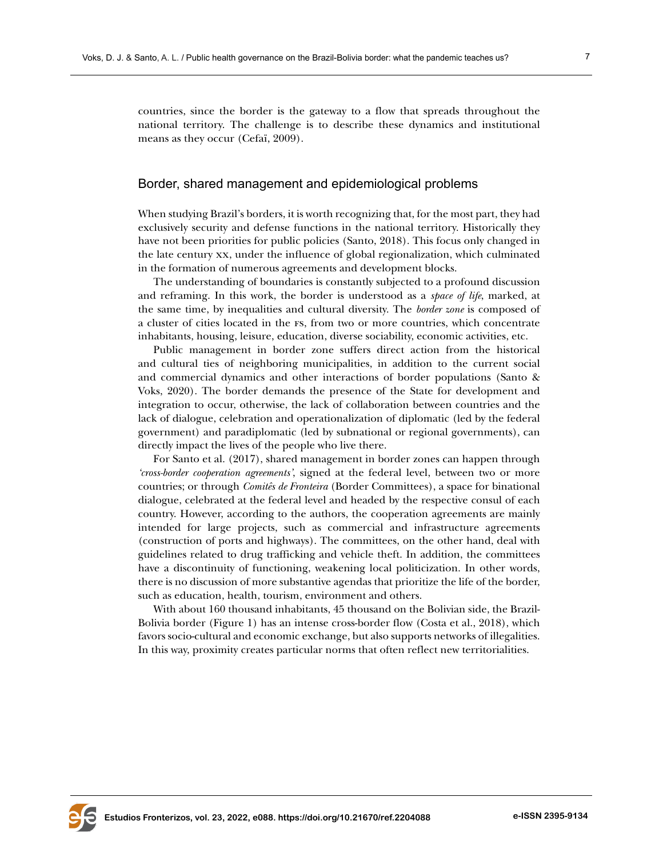countries, since the border is the gateway to a flow that spreads throughout the national territory. The challenge is to describe these dynamics and institutional means as they occur (Cefaï, 2009).

## Border, shared management and epidemiological problems

When studying Brazil's borders, it is worth recognizing that, for the most part, they had exclusively security and defense functions in the national territory. Historically they have not been priorities for public policies (Santo, 2018). This focus only changed in the late century xx, under the influence of global regionalization, which culminated in the formation of numerous agreements and development blocks.

The understanding of boundaries is constantly subjected to a profound discussion and reframing. In this work, the border is understood as a *space of life*, marked, at the same time, by inequalities and cultural diversity. The *border zone* is composed of a cluster of cities located in the fs, from two or more countries, which concentrate inhabitants, housing, leisure, education, diverse sociability, economic activities, etc.

Public management in border zone suffers direct action from the historical and cultural ties of neighboring municipalities, in addition to the current social and commercial dynamics and other interactions of border populations (Santo & Voks, 2020). The border demands the presence of the State for development and integration to occur, otherwise, the lack of collaboration between countries and the lack of dialogue, celebration and operationalization of diplomatic (led by the federal government) and paradiplomatic (led by subnational or regional governments), can directly impact the lives of the people who live there.

For Santo et al. (2017), shared management in border zones can happen through *'cross-border cooperation agreements'*, signed at the federal level, between two or more countries; or through *Comitês de Fronteira* (Border Committees), a space for binational dialogue, celebrated at the federal level and headed by the respective consul of each country. However, according to the authors, the cooperation agreements are mainly intended for large projects, such as commercial and infrastructure agreements (construction of ports and highways). The committees, on the other hand, deal with guidelines related to drug trafficking and vehicle theft. In addition, the committees have a discontinuity of functioning, weakening local politicization. In other words, there is no discussion of more substantive agendas that prioritize the life of the border, such as education, health, tourism, environment and others.

With about 160 thousand inhabitants, 45 thousand on the Bolivian side, the Brazil-Bolivia border (Figure 1) has an intense cross-border flow (Costa et al., 2018), which favors socio-cultural and economic exchange, but also supports networks of illegalities. In this way, proximity creates particular norms that often reflect new territorialities.

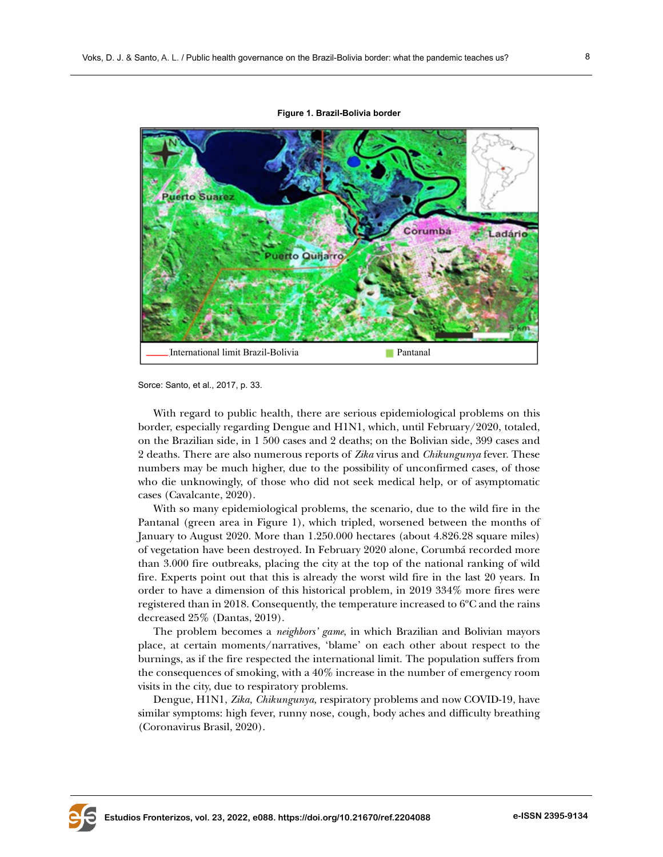



Sorce: Santo, et al., 2017, p. 33.

With regard to public health, there are serious epidemiological problems on this border, especially regarding Dengue and H1N1, which, until February/2020, totaled, on the Brazilian side, in 1 500 cases and 2 deaths; on the Bolivian side, 399 cases and 2 deaths. There are also numerous reports of *Zika* virus and *Chikungunya* fever. These numbers may be much higher, due to the possibility of unconfirmed cases, of those who die unknowingly, of those who did not seek medical help, or of asymptomatic cases (Cavalcante, 2020).

With so many epidemiological problems, the scenario, due to the wild fire in the Pantanal (green area in Figure 1), which tripled, worsened between the months of January to August 2020. More than 1.250.000 hectares (about 4.826.28 square miles) of vegetation have been destroyed. In February 2020 alone, Corumbá recorded more than 3.000 fire outbreaks, placing the city at the top of the national ranking of wild fire. Experts point out that this is already the worst wild fire in the last 20 years. In order to have a dimension of this historical problem, in 2019 334% more fires were registered than in 2018. Consequently, the temperature increased to 6ºC and the rains decreased 25% (Dantas, 2019).

The problem becomes a *neighbors' game*, in which Brazilian and Bolivian mayors place, at certain moments/narratives, 'blame' on each other about respect to the burnings, as if the fire respected the international limit. The population suffers from the consequences of smoking, with a 40% increase in the number of emergency room visits in the city, due to respiratory problems.

Dengue, H1N1, *Zika, Chikungunya,* respiratory problems and now COVID-19, have similar symptoms: high fever, runny nose, cough, body aches and difficulty breathing (Coronavirus Brasil, 2020).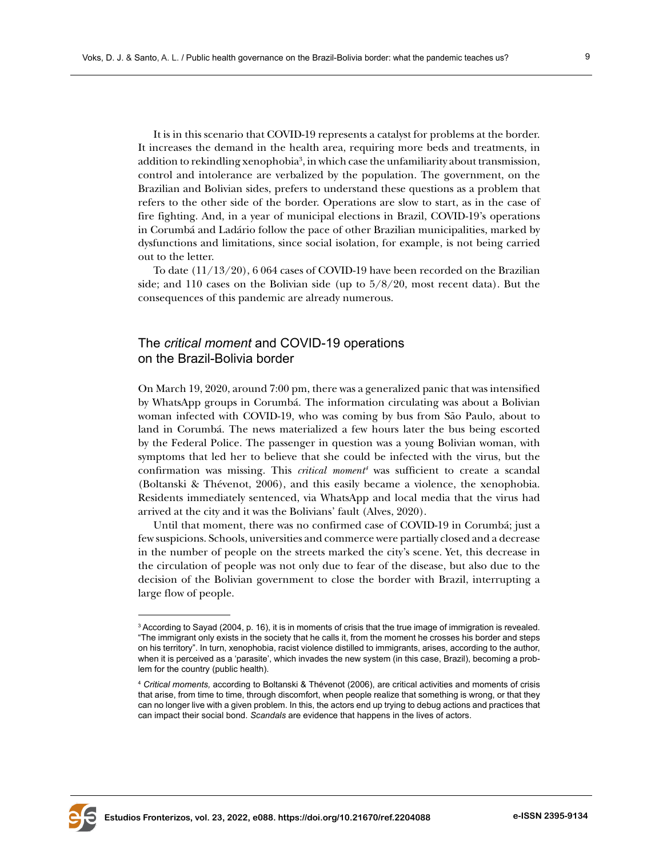It is in this scenario that COVID-19 represents a catalyst for problems at the border. It increases the demand in the health area, requiring more beds and treatments, in addition to rekindling xenophobia<sup>3</sup>, in which case the unfamiliarity about transmission, control and intolerance are verbalized by the population. The government, on the Brazilian and Bolivian sides, prefers to understand these questions as a problem that refers to the other side of the border. Operations are slow to start, as in the case of fire fighting. And, in a year of municipal elections in Brazil, COVID-19's operations in Corumbá and Ladário follow the pace of other Brazilian municipalities, marked by dysfunctions and limitations, since social isolation, for example, is not being carried out to the letter.

To date (11/13/20), 6 064 cases of COVID-19 have been recorded on the Brazilian side; and 110 cases on the Bolivian side (up to 5/8/20, most recent data). But the consequences of this pandemic are already numerous.

# The *critical moment* and COVID-19 operations on the Brazil-Bolivia border

On March 19, 2020, around 7:00 pm, there was a generalized panic that was intensified by WhatsApp groups in Corumbá. The information circulating was about a Bolivian woman infected with COVID-19, who was coming by bus from São Paulo, about to land in Corumbá. The news materialized a few hours later the bus being escorted by the Federal Police. The passenger in question was a young Bolivian woman, with symptoms that led her to believe that she could be infected with the virus, but the confirmation was missing. This *critical moment4* was sufficient to create a scandal (Boltanski & Thévenot, 2006), and this easily became a violence, the xenophobia. Residents immediately sentenced, via WhatsApp and local media that the virus had arrived at the city and it was the Bolivians' fault (Alves, 2020).

Until that moment, there was no confirmed case of COVID-19 in Corumbá; just a few suspicions. Schools, universities and commerce were partially closed and a decrease in the number of people on the streets marked the city's scene. Yet, this decrease in the circulation of people was not only due to fear of the disease, but also due to the decision of the Bolivian government to close the border with Brazil, interrupting a large flow of people.



 $^3$  According to Sayad (2004, p. 16), it is in moments of crisis that the true image of immigration is revealed. "The immigrant only exists in the society that he calls it, from the moment he crosses his border and steps on his territory". In turn, xenophobia, racist violence distilled to immigrants, arises, according to the author, when it is perceived as a 'parasite', which invades the new system (in this case, Brazil), becoming a problem for the country (public health).

<sup>4</sup> *Critical moments,* according to Boltanski & Thévenot (2006), are critical activities and moments of crisis that arise, from time to time, through discomfort, when people realize that something is wrong, or that they can no longer live with a given problem. In this, the actors end up trying to debug actions and practices that can impact their social bond. *Scandals* are evidence that happens in the lives of actors.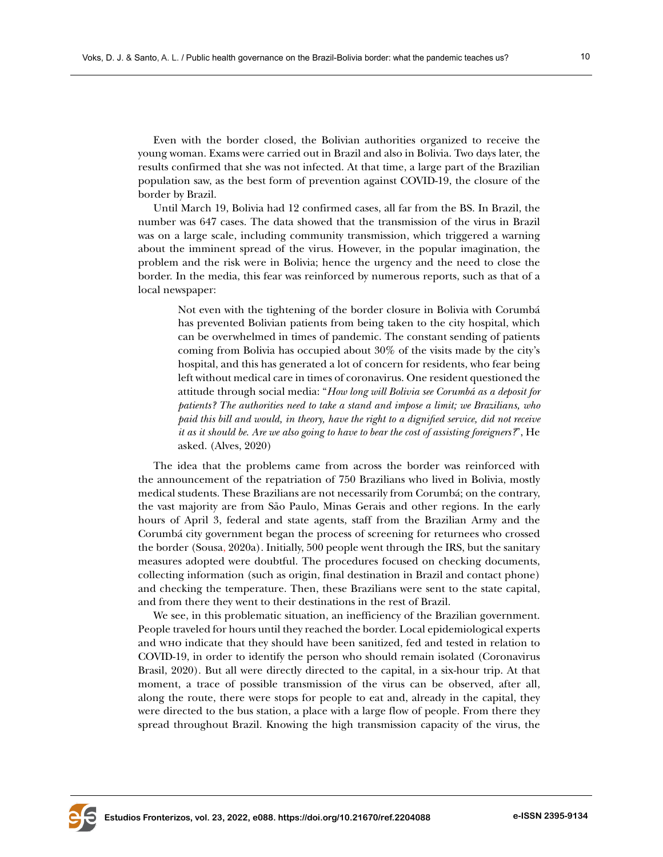Even with the border closed, the Bolivian authorities organized to receive the young woman. Exams were carried out in Brazil and also in Bolivia. Two days later, the results confirmed that she was not infected. At that time, a large part of the Brazilian population saw, as the best form of prevention against COVID-19, the closure of the border by Brazil.

Until March 19, Bolivia had 12 confirmed cases, all far from the BS. In Brazil, the number was 647 cases. The data showed that the transmission of the virus in Brazil was on a large scale, including community transmission, which triggered a warning about the imminent spread of the virus. However, in the popular imagination, the problem and the risk were in Bolivia; hence the urgency and the need to close the border. In the media, this fear was reinforced by numerous reports, such as that of a local newspaper:

Not even with the tightening of the border closure in Bolivia with Corumbá has prevented Bolivian patients from being taken to the city hospital, which can be overwhelmed in times of pandemic. The constant sending of patients coming from Bolivia has occupied about 30% of the visits made by the city's hospital, and this has generated a lot of concern for residents, who fear being left without medical care in times of coronavirus. One resident questioned the attitude through social media: "*How long will Bolivia see Corumbá as a deposit for patients? The authorities need to take a stand and impose a limit; we Brazilians, who paid this bill and would, in theory, have the right to a dignified service, did not receive it as it should be. Are we also going to have to bear the cost of assisting foreigners?*", He asked. (Alves, 2020)

The idea that the problems came from across the border was reinforced with the announcement of the repatriation of 750 Brazilians who lived in Bolivia, mostly medical students. These Brazilians are not necessarily from Corumbá; on the contrary, the vast majority are from São Paulo, Minas Gerais and other regions. In the early hours of April 3, federal and state agents, staff from the Brazilian Army and the Corumbá city government began the process of screening for returnees who crossed the border (Sousa, 2020a). Initially, 500 people went through the IRS, but the sanitary measures adopted were doubtful. The procedures focused on checking documents, collecting information (such as origin, final destination in Brazil and contact phone) and checking the temperature. Then, these Brazilians were sent to the state capital, and from there they went to their destinations in the rest of Brazil.

We see, in this problematic situation, an inefficiency of the Brazilian government. People traveled for hours until they reached the border. Local epidemiological experts and who indicate that they should have been sanitized, fed and tested in relation to COVID-19, in order to identify the person who should remain isolated (Coronavirus Brasil, 2020). But all were directly directed to the capital, in a six-hour trip. At that moment, a trace of possible transmission of the virus can be observed, after all, along the route, there were stops for people to eat and, already in the capital, they were directed to the bus station, a place with a large flow of people. From there they spread throughout Brazil. Knowing the high transmission capacity of the virus, the

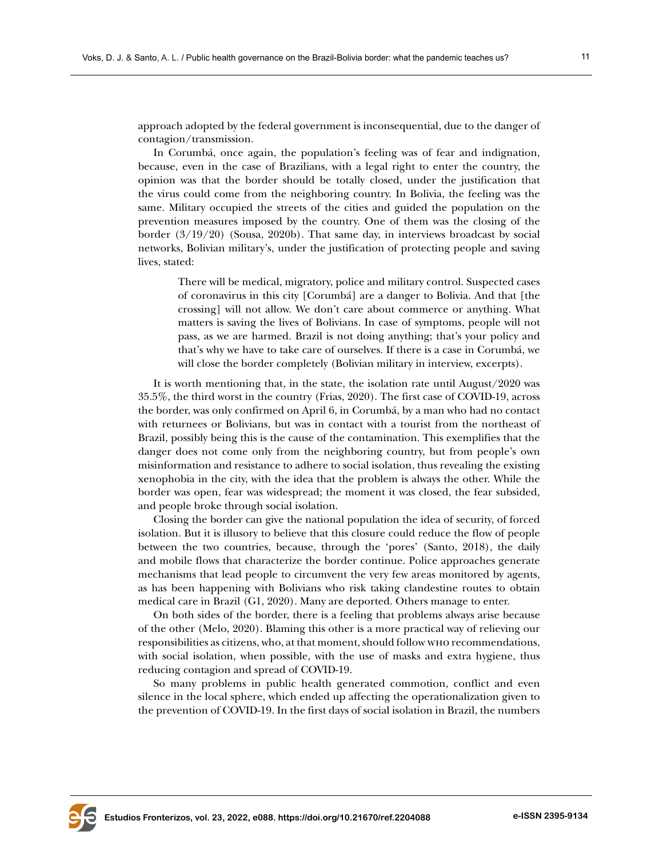approach adopted by the federal government is inconsequential, due to the danger of contagion/transmission.

In Corumbá, once again, the population's feeling was of fear and indignation, because, even in the case of Brazilians, with a legal right to enter the country, the opinion was that the border should be totally closed, under the justification that the virus could come from the neighboring country. In Bolivia, the feeling was the same. Military occupied the streets of the cities and guided the population on the prevention measures imposed by the country. One of them was the closing of the border (3/19/20) (Sousa, 2020b). That same day, in interviews broadcast by social networks, Bolivian military's, under the justification of protecting people and saving lives, stated:

There will be medical, migratory, police and military control. Suspected cases of coronavirus in this city [Corumbá] are a danger to Bolivia. And that [the crossing] will not allow. We don't care about commerce or anything. What matters is saving the lives of Bolivians. In case of symptoms, people will not pass, as we are harmed. Brazil is not doing anything; that's your policy and that's why we have to take care of ourselves. If there is a case in Corumbá, we will close the border completely (Bolivian military in interview, excerpts).

It is worth mentioning that, in the state, the isolation rate until August/2020 was 35.5%, the third worst in the country (Frias, 2020). The first case of COVID-19, across the border, was only confirmed on April 6, in Corumbá, by a man who had no contact with returnees or Bolivians, but was in contact with a tourist from the northeast of Brazil, possibly being this is the cause of the contamination. This exemplifies that the danger does not come only from the neighboring country, but from people's own misinformation and resistance to adhere to social isolation, thus revealing the existing xenophobia in the city, with the idea that the problem is always the other. While the border was open, fear was widespread; the moment it was closed, the fear subsided, and people broke through social isolation.

Closing the border can give the national population the idea of security, of forced isolation. But it is illusory to believe that this closure could reduce the flow of people between the two countries, because, through the 'pores' (Santo, 2018), the daily and mobile flows that characterize the border continue. Police approaches generate mechanisms that lead people to circumvent the very few areas monitored by agents, as has been happening with Bolivians who risk taking clandestine routes to obtain medical care in Brazil (G1, 2020). Many are deported. Others manage to enter.

On both sides of the border, there is a feeling that problems always arise because of the other (Melo, 2020). Blaming this other is a more practical way of relieving our responsibilities as citizens, who, at that moment, should follow who recommendations, with social isolation, when possible, with the use of masks and extra hygiene, thus reducing contagion and spread of COVID-19.

So many problems in public health generated commotion, conflict and even silence in the local sphere, which ended up affecting the operationalization given to the prevention of COVID-19. In the first days of social isolation in Brazil, the numbers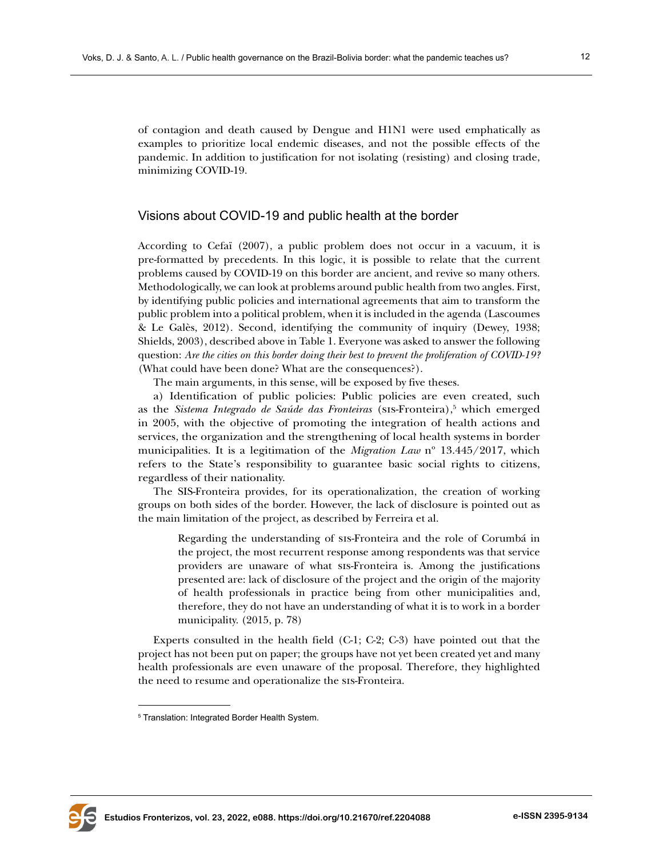of contagion and death caused by Dengue and H1N1 were used emphatically as examples to prioritize local endemic diseases, and not the possible effects of the pandemic. In addition to justification for not isolating (resisting) and closing trade, minimizing COVID-19.

# Visions about COVID-19 and public health at the border

According to Cefaï (2007), a public problem does not occur in a vacuum, it is pre-formatted by precedents. In this logic, it is possible to relate that the current problems caused by COVID-19 on this border are ancient, and revive so many others. Methodologically, we can look at problems around public health from two angles. First, by identifying public policies and international agreements that aim to transform the public problem into a political problem, when it is included in the agenda (Lascoumes & Le Galès, 2012). Second, identifying the community of inquiry (Dewey, 1938; Shields, 2003), described above in Table 1. Everyone was asked to answer the following question: *Are the cities on this border doing their best to prevent the proliferation of COVID-19?* (What could have been done? What are the consequences?).

The main arguments, in this sense, will be exposed by five theses.

a) Identification of public policies: Public policies are even created, such as the *Sistema Integrado de Saúde das Fronteiras* (SIS-Fronteira),<sup>5</sup> which emerged in 2005, with the objective of promoting the integration of health actions and services, the organization and the strengthening of local health systems in border municipalities. It is a legitimation of the *Migration Law* nº 13.445/2017, which refers to the State's responsibility to guarantee basic social rights to citizens, regardless of their nationality.

The SIS-Fronteira provides, for its operationalization, the creation of working groups on both sides of the border. However, the lack of disclosure is pointed out as the main limitation of the project, as described by Ferreira et al.

Regarding the understanding of sis-Fronteira and the role of Corumbá in the project, the most recurrent response among respondents was that service providers are unaware of what sis-Fronteira is. Among the justifications presented are: lack of disclosure of the project and the origin of the majority of health professionals in practice being from other municipalities and, therefore, they do not have an understanding of what it is to work in a border municipality. (2015, p. 78)

Experts consulted in the health field (C-1; C-2; C-3) have pointed out that the project has not been put on paper; the groups have not yet been created yet and many health professionals are even unaware of the proposal. Therefore, they highlighted the need to resume and operationalize the sis-Fronteira.



<sup>5</sup> Translation: Integrated Border Health System.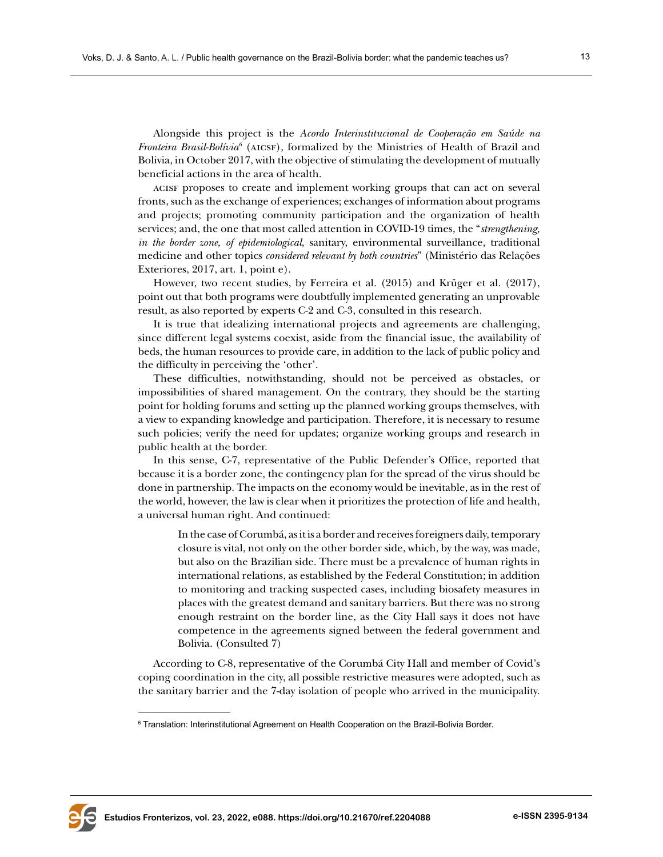Alongside this project is the *Acordo Interinstitucional de Cooperação em Saúde na Fronteira Brasil-Bolívia*<sup>6</sup> (AICSF), formalized by the Ministries of Health of Brazil and Bolivia, in October 2017, with the objective of stimulating the development of mutually beneficial actions in the area of health.

acisf proposes to create and implement working groups that can act on several fronts, such as the exchange of experiences; exchanges of information about programs and projects; promoting community participation and the organization of health services; and, the one that most called attention in COVID-19 times, the "*strengthening, in the border zone, of epidemiological*, sanitary, environmental surveillance, traditional medicine and other topics *considered relevant by both countries*" (Ministério das Relações Exteriores, 2017, art. 1, point e).

However, two recent studies, by Ferreira et al. (2015) and Krüger et al. (2017), point out that both programs were doubtfully implemented generating an unprovable result, as also reported by experts C-2 and C-3, consulted in this research.

It is true that idealizing international projects and agreements are challenging, since different legal systems coexist, aside from the financial issue, the availability of beds, the human resources to provide care, in addition to the lack of public policy and the difficulty in perceiving the 'other'.

These difficulties, notwithstanding, should not be perceived as obstacles, or impossibilities of shared management. On the contrary, they should be the starting point for holding forums and setting up the planned working groups themselves, with a view to expanding knowledge and participation. Therefore, it is necessary to resume such policies; verify the need for updates; organize working groups and research in public health at the border.

In this sense, C-7, representative of the Public Defender's Office, reported that because it is a border zone, the contingency plan for the spread of the virus should be done in partnership. The impacts on the economy would be inevitable, as in the rest of the world, however, the law is clear when it prioritizes the protection of life and health, a universal human right. And continued:

In the case of Corumbá, as it is a border and receives foreigners daily, temporary closure is vital, not only on the other border side, which, by the way, was made, but also on the Brazilian side. There must be a prevalence of human rights in international relations, as established by the Federal Constitution; in addition to monitoring and tracking suspected cases, including biosafety measures in places with the greatest demand and sanitary barriers. But there was no strong enough restraint on the border line, as the City Hall says it does not have competence in the agreements signed between the federal government and Bolivia. (Consulted 7)

According to C-8, representative of the Corumbá City Hall and member of Covid's coping coordination in the city, all possible restrictive measures were adopted, such as the sanitary barrier and the 7-day isolation of people who arrived in the municipality.



 $\,^6$  Translation: Interinstitutional Agreement on Health Cooperation on the Brazil-Bolivia Border.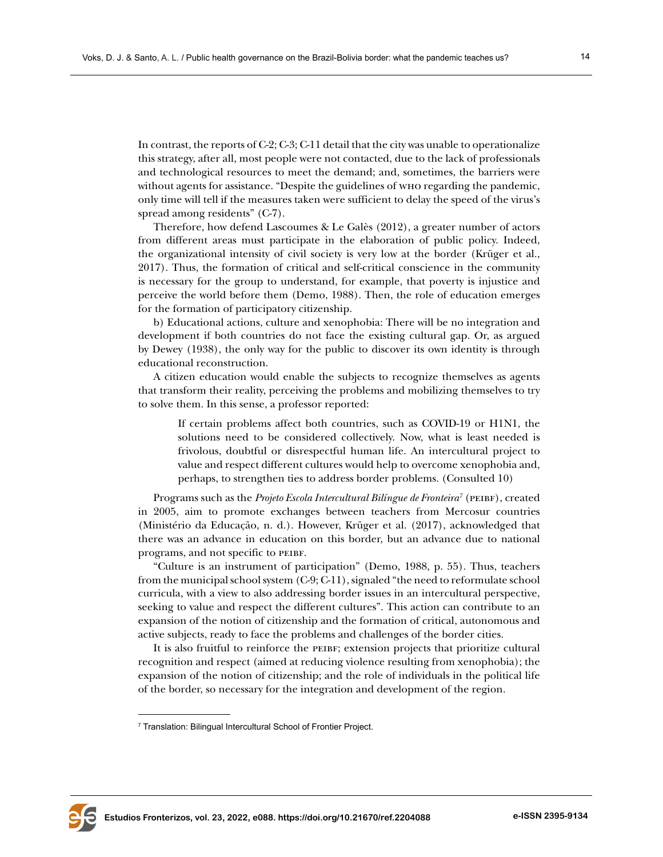In contrast, the reports of C-2; C-3; C-11 detail that the city was unable to operationalize this strategy, after all, most people were not contacted, due to the lack of professionals and technological resources to meet the demand; and, sometimes, the barriers were without agents for assistance. "Despite the guidelines of who regarding the pandemic, only time will tell if the measures taken were sufficient to delay the speed of the virus's spread among residents" (C-7).

Therefore, how defend Lascoumes & Le Galès (2012), a greater number of actors from different areas must participate in the elaboration of public policy. Indeed, the organizational intensity of civil society is very low at the border (Krüger et al., 2017). Thus, the formation of critical and self-critical conscience in the community is necessary for the group to understand, for example, that poverty is injustice and perceive the world before them (Demo, 1988). Then, the role of education emerges for the formation of participatory citizenship.

b) Educational actions, culture and xenophobia: There will be no integration and development if both countries do not face the existing cultural gap. Or, as argued by Dewey (1938), the only way for the public to discover its own identity is through educational reconstruction.

A citizen education would enable the subjects to recognize themselves as agents that transform their reality, perceiving the problems and mobilizing themselves to try to solve them. In this sense, a professor reported:

If certain problems affect both countries, such as COVID-19 or H1N1, the solutions need to be considered collectively. Now, what is least needed is frivolous, doubtful or disrespectful human life. An intercultural project to value and respect different cultures would help to overcome xenophobia and, perhaps, to strengthen ties to address border problems. (Consulted 10)

Programs such as the *Projeto Escola Intercultural Bilíngue de Fronteira*<sup>7</sup> (PEIBF), created in 2005, aim to promote exchanges between teachers from Mercosur countries (Ministério da Educação, n. d.). However, Krüger et al. (2017), acknowledged that there was an advance in education on this border, but an advance due to national programs, and not specific to peibf.

"Culture is an instrument of participation" (Demo, 1988, p. 55). Thus, teachers from the municipal school system (C-9; C-11), signaled "the need to reformulate school curricula, with a view to also addressing border issues in an intercultural perspective, seeking to value and respect the different cultures". This action can contribute to an expansion of the notion of citizenship and the formation of critical, autonomous and active subjects, ready to face the problems and challenges of the border cities.

It is also fruitful to reinforce the peibf; extension projects that prioritize cultural recognition and respect (aimed at reducing violence resulting from xenophobia); the expansion of the notion of citizenship; and the role of individuals in the political life of the border, so necessary for the integration and development of the region.



<sup>7</sup> Translation: Bilingual Intercultural School of Frontier Project.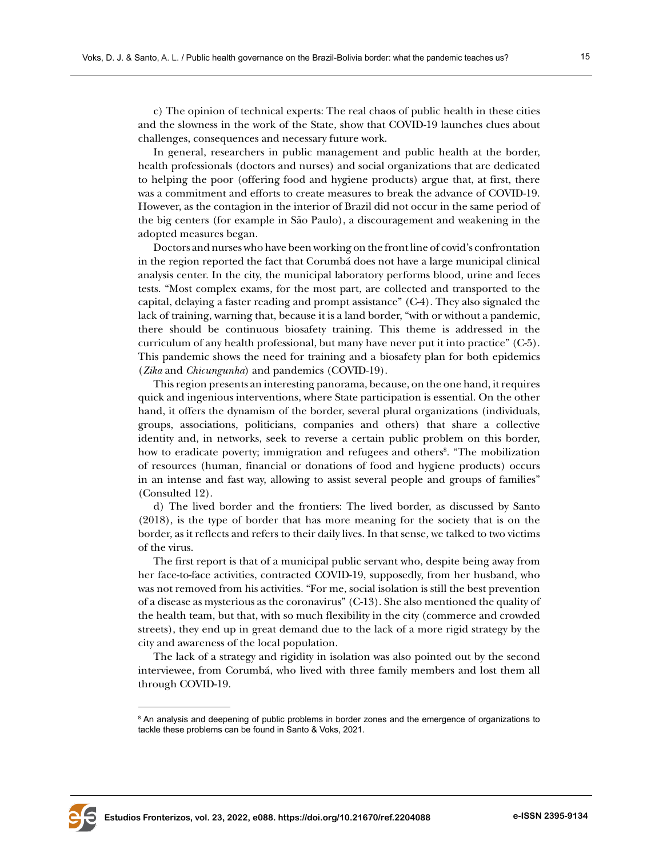c) The opinion of technical experts: The real chaos of public health in these cities and the slowness in the work of the State, show that COVID-19 launches clues about challenges, consequences and necessary future work.

In general, researchers in public management and public health at the border, health professionals (doctors and nurses) and social organizations that are dedicated to helping the poor (offering food and hygiene products) argue that, at first, there was a commitment and efforts to create measures to break the advance of COVID-19. However, as the contagion in the interior of Brazil did not occur in the same period of the big centers (for example in São Paulo), a discouragement and weakening in the adopted measures began.

Doctors and nurses who have been working on the front line of covid's confrontation in the region reported the fact that Corumbá does not have a large municipal clinical analysis center. In the city, the municipal laboratory performs blood, urine and feces tests. "Most complex exams, for the most part, are collected and transported to the capital, delaying a faster reading and prompt assistance" (C-4). They also signaled the lack of training, warning that, because it is a land border, "with or without a pandemic, there should be continuous biosafety training. This theme is addressed in the curriculum of any health professional, but many have never put it into practice" (C-5). This pandemic shows the need for training and a biosafety plan for both epidemics (*Zika* and *Chicungunha*) and pandemics (COVID-19).

This region presents an interesting panorama, because, on the one hand, it requires quick and ingenious interventions, where State participation is essential. On the other hand, it offers the dynamism of the border, several plural organizations (individuals, groups, associations, politicians, companies and others) that share a collective identity and, in networks, seek to reverse a certain public problem on this border, how to eradicate poverty; immigration and refugees and others<sup>8</sup>. "The mobilization of resources (human, financial or donations of food and hygiene products) occurs in an intense and fast way, allowing to assist several people and groups of families" (Consulted 12).

d) The lived border and the frontiers: The lived border, as discussed by Santo (2018), is the type of border that has more meaning for the society that is on the border, as it reflects and refers to their daily lives. In that sense, we talked to two victims of the virus.

The first report is that of a municipal public servant who, despite being away from her face-to-face activities, contracted COVID-19, supposedly, from her husband, who was not removed from his activities. "For me, social isolation is still the best prevention of a disease as mysterious as the coronavirus" (C-13). She also mentioned the quality of the health team, but that, with so much flexibility in the city (commerce and crowded streets), they end up in great demand due to the lack of a more rigid strategy by the city and awareness of the local population.

The lack of a strategy and rigidity in isolation was also pointed out by the second interviewee, from Corumbá, who lived with three family members and lost them all through COVID-19.



 $\mathrm{^8}$  An analysis and deepening of public problems in border zones and the emergence of organizations to tackle these problems can be found in Santo & Voks, 2021.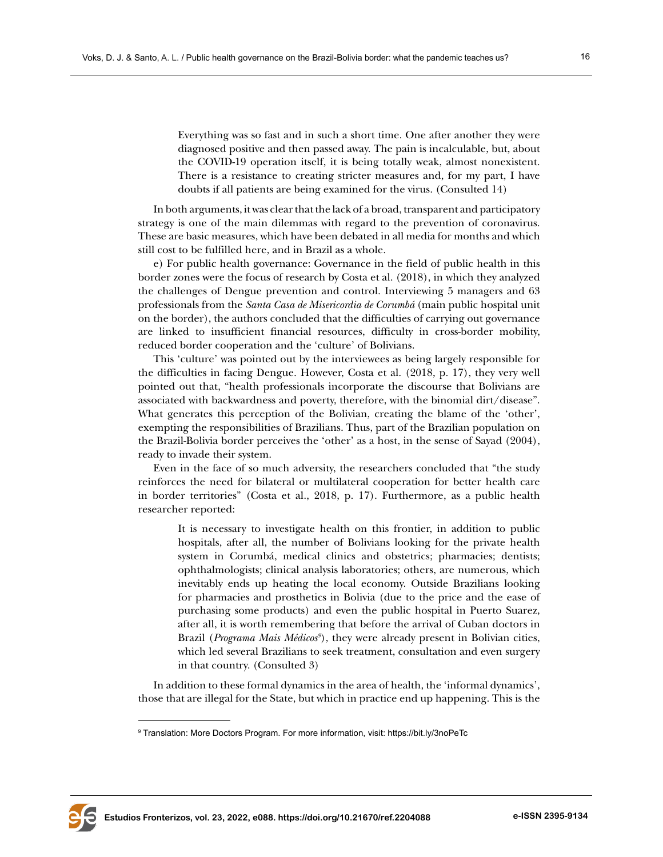Everything was so fast and in such a short time. One after another they were diagnosed positive and then passed away. The pain is incalculable, but, about the COVID-19 operation itself, it is being totally weak, almost nonexistent. There is a resistance to creating stricter measures and, for my part, I have doubts if all patients are being examined for the virus. (Consulted 14)

In both arguments, it was clear that the lack of a broad, transparent and participatory strategy is one of the main dilemmas with regard to the prevention of coronavirus. These are basic measures, which have been debated in all media for months and which still cost to be fulfilled here, and in Brazil as a whole.

e) For public health governance: Governance in the field of public health in this border zones were the focus of research by Costa et al. (2018), in which they analyzed the challenges of Dengue prevention and control. Interviewing 5 managers and 63 professionals from the *Santa Casa de Misericordia de Corumbá* (main public hospital unit on the border), the authors concluded that the difficulties of carrying out governance are linked to insufficient financial resources, difficulty in cross-border mobility, reduced border cooperation and the 'culture' of Bolivians.

This 'culture' was pointed out by the interviewees as being largely responsible for the difficulties in facing Dengue. However, Costa et al. (2018, p. 17), they very well pointed out that, "health professionals incorporate the discourse that Bolivians are associated with backwardness and poverty, therefore, with the binomial dirt/disease". What generates this perception of the Bolivian, creating the blame of the 'other', exempting the responsibilities of Brazilians. Thus, part of the Brazilian population on the Brazil-Bolivia border perceives the 'other' as a host, in the sense of Sayad (2004), ready to invade their system.

Even in the face of so much adversity, the researchers concluded that "the study reinforces the need for bilateral or multilateral cooperation for better health care in border territories" (Costa et al., 2018, p. 17). Furthermore, as a public health researcher reported:

It is necessary to investigate health on this frontier, in addition to public hospitals, after all, the number of Bolivians looking for the private health system in Corumbá, medical clinics and obstetrics; pharmacies; dentists; ophthalmologists; clinical analysis laboratories; others, are numerous, which inevitably ends up heating the local economy. Outside Brazilians looking for pharmacies and prosthetics in Bolivia (due to the price and the ease of purchasing some products) and even the public hospital in Puerto Suarez, after all, it is worth remembering that before the arrival of Cuban doctors in Brazil (Programa Mais Médicos<sup>9</sup>), they were already present in Bolivian cities, which led several Brazilians to seek treatment, consultation and even surgery in that country. (Consulted 3)

In addition to these formal dynamics in the area of health, the 'informal dynamics', those that are illegal for the State, but which in practice end up happening. This is the



<sup>9</sup> Translation: More Doctors Program. For more information, visit:<https://bit.ly/3noPeTc>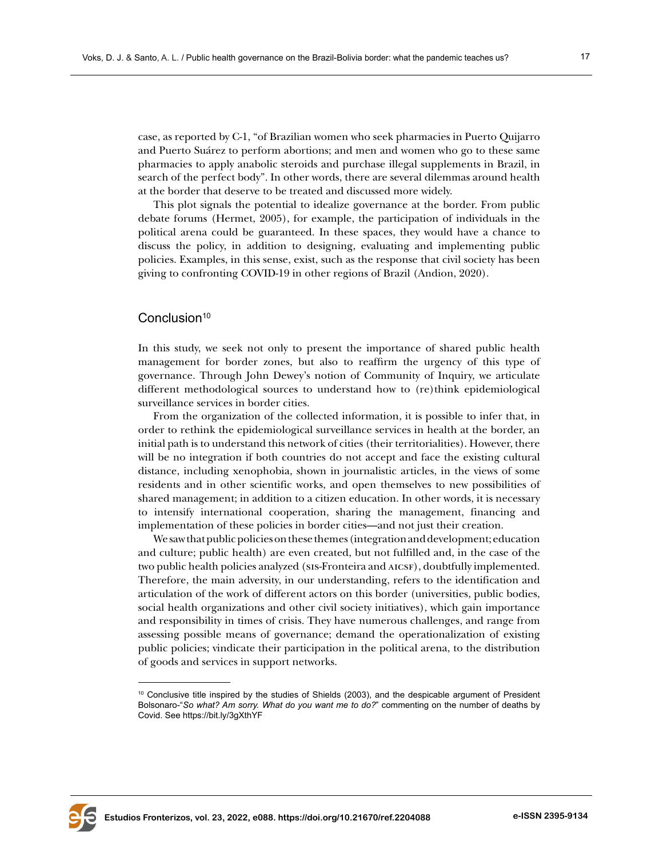case, as reported by C-1, "of Brazilian women who seek pharmacies in Puerto Quijarro and Puerto Suárez to perform abortions; and men and women who go to these same pharmacies to apply anabolic steroids and purchase illegal supplements in Brazil, in search of the perfect body". In other words, there are several dilemmas around health at the border that deserve to be treated and discussed more widely.

This plot signals the potential to idealize governance at the border. From public debate forums (Hermet, 2005), for example, the participation of individuals in the political arena could be guaranteed. In these spaces, they would have a chance to discuss the policy, in addition to designing, evaluating and implementing public policies. Examples, in this sense, exist, such as the response that civil society has been giving to confronting COVID-19 in other regions of Brazil (Andion, 2020).

# Conclusion<sup>10</sup>

In this study, we seek not only to present the importance of shared public health management for border zones, but also to reaffirm the urgency of this type of governance. Through John Dewey's notion of Community of Inquiry, we articulate different methodological sources to understand how to (re)think epidemiological surveillance services in border cities.

From the organization of the collected information, it is possible to infer that, in order to rethink the epidemiological surveillance services in health at the border, an initial path is to understand this network of cities (their territorialities). However, there will be no integration if both countries do not accept and face the existing cultural distance, including xenophobia, shown in journalistic articles, in the views of some residents and in other scientific works, and open themselves to new possibilities of shared management; in addition to a citizen education. In other words, it is necessary to intensify international cooperation, sharing the management, financing and implementation of these policies in border cities—and not just their creation.

We saw that public policies on these themes (integration and development; education and culture; public health) are even created, but not fulfilled and, in the case of the two public health policies analyzed (sis-Fronteira and AICSF), doubtfully implemented. Therefore, the main adversity, in our understanding, refers to the identification and articulation of the work of different actors on this border (universities, public bodies, social health organizations and other civil society initiatives), which gain importance and responsibility in times of crisis. They have numerous challenges, and range from assessing possible means of governance; demand the operationalization of existing public policies; vindicate their participation in the political arena, to the distribution of goods and services in support networks.



<sup>10</sup> Conclusive title inspired by the studies of Shields (2003), and the despicable argument of President Bolsonaro-"*So what? Am sorry. What do you want me to do?*" commenting on the number of deaths by Covid. See <https://bit.ly/3gXthYF>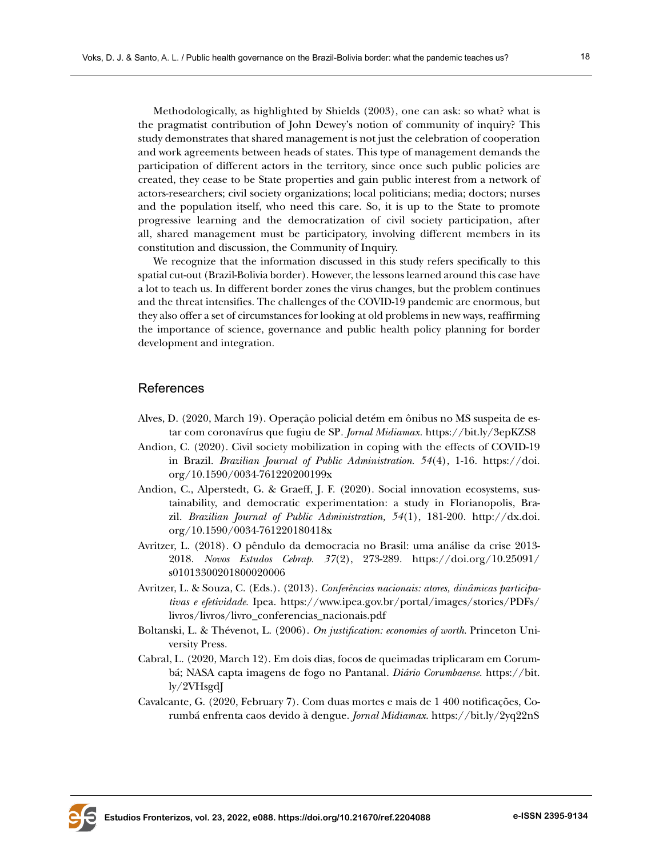Methodologically, as highlighted by Shields (2003), one can ask: so what? what is the pragmatist contribution of John Dewey's notion of community of inquiry? This study demonstrates that shared management is not just the celebration of cooperation and work agreements between heads of states. This type of management demands the participation of different actors in the territory, since once such public policies are created, they cease to be State properties and gain public interest from a network of actors-researchers; civil society organizations; local politicians; media; doctors; nurses and the population itself, who need this care. So, it is up to the State to promote progressive learning and the democratization of civil society participation, after all, shared management must be participatory, involving different members in its constitution and discussion, the Community of Inquiry.

We recognize that the information discussed in this study refers specifically to this spatial cut-out (Brazil-Bolivia border). However, the lessons learned around this case have a lot to teach us. In different border zones the virus changes, but the problem continues and the threat intensifies. The challenges of the COVID-19 pandemic are enormous, but they also offer a set of circumstances for looking at old problems in new ways, reaffirming the importance of science, governance and public health policy planning for border development and integration.

## References

- Alves, D. (2020, March 19). Operação policial detém em ônibus no MS suspeita de estar com coronavírus que fugiu de SP*. Jornal Midiamax.* <https://bit.ly/3epKZS8>
- Andion, C. (2020). Civil society mobilization in coping with the effects of COVID-19 in Brazil. *Brazilian Journal of Public Administration*. *54*(4), 1-16. [https://doi.](https://doi.org/10.1590/0034-761220200199x) [org/10.1590/0034-761220200199x](https://doi.org/10.1590/0034-761220200199x)
- Andion, C., Alperstedt, G. & Graeff, J. F. (2020). Social innovation ecosystems, sustainability, and democratic experimentation: a study in Florianopolis, Brazil. *Brazilian Journal of Public Administration, 54*(1), 181-200. [http://dx.doi.](http://dx.doi.org/10.1590/0034-761220180418x) [org/10.1590/0034-761220180418x](http://dx.doi.org/10.1590/0034-761220180418x)
- Avritzer, L. (2018). O pêndulo da democracia no Brasil: uma análise da crise 2013- 2018. *Novos Estudos Cebrap. 37*(2), 273-289. [https://doi.org/10.25091/](https://doi.org/10.25091/s01013300201800020006) [s01013300201800020006](https://doi.org/10.25091/s01013300201800020006)
- Avritzer, L. & Souza, C. (Eds.). (2013). *Conferências nacionais: atores, dinâmicas participativas e efetividade.* Ipea. [https://www.ipea.gov.br/portal/images/stories/PDFs/](https://www.ipea.gov.br/portal/images/stories/PDFs/livros/livros/livro_conferencias_nacionais.pdf) [livros/livros/livro\\_conferencias\\_nacionais.pdf](https://www.ipea.gov.br/portal/images/stories/PDFs/livros/livros/livro_conferencias_nacionais.pdf)
- Boltanski, L. & Thévenot, L. (2006). *On justification: economies of worth*. Princeton University Press.
- Cabral, L. (2020, March 12). Em dois dias, focos de queimadas triplicaram em Corumbá; NASA capta imagens de fogo no Pantanal. *Diário Corumbaense.* [https://bit.](https://bit.ly/2VHsgdJ) [ly/2VHsgdJ](https://bit.ly/2VHsgdJ)
- Cavalcante, G. (2020, February 7). Com duas mortes e mais de 1 400 notificações, Corumbá enfrenta caos devido à dengue. *Jornal Midiamax.* <https://bit.ly/2yq22nS>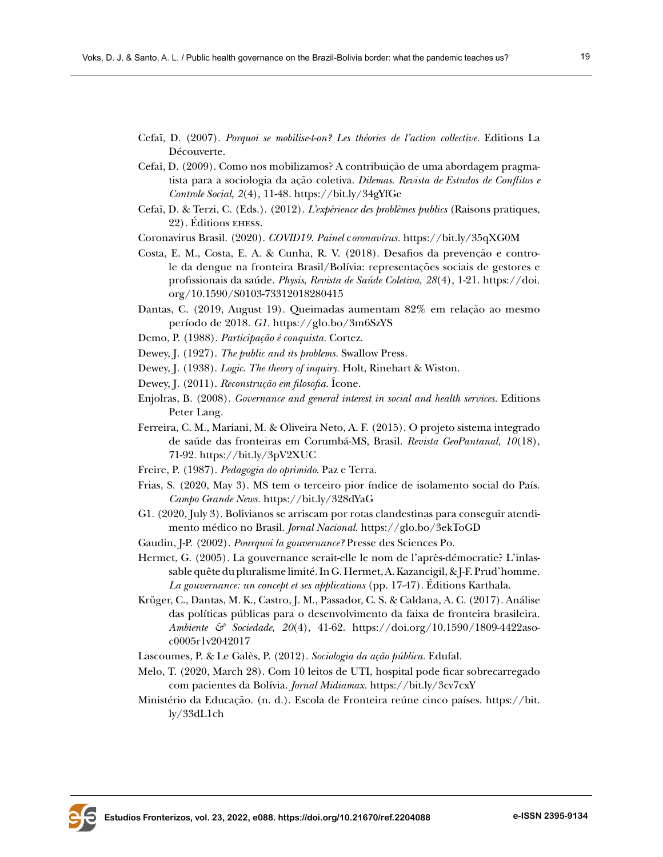- Cefaï, D. (2007). *Porquoi se mobilise-t-on? Les théories de l'action collective.* Editions La Découverte.
- Cefaï, D. (2009). Como nos mobilizamos? A contribuição de uma abordagem pragmatista para a sociologia da ação coletiva. *Dilemas*. *Revista de Estudos de Conflitos e Controle Social*, *2*(4), 11-48. <https://bit.ly/34gYfGe>
- Cefaï, D. & Terzi, C. (Eds.). (2012). *L'expérience des problèmes publics* (Raisons pratiques, 22)*.* Éditions ehess.
- Coronavirus Brasil. (2020). *COVID19. Painel* c*oronavírus.* <https://bit.ly/35qXG0M>
- Costa, E. M., Costa, E. A. & Cunha, R. V. (2018). Desafios da prevenção e controle da dengue na fronteira Brasil/Bolívia: representações sociais de gestores e profissionais da saúde. *Physis*, *Revista de Saúde Coletiva, 28*(4), 1-21. [https://doi.](https://doi.org/10.1590/S0103-73312018280415) [org/10.1590/S0103-73312018280415](https://doi.org/10.1590/S0103-73312018280415)
- Dantas, C. (2019, August 19). Queimadas aumentam 82% em relação ao mesmo período de 2018. *G1.* <https://glo.bo/3m6SzYS>
- Demo, P. (1988). *Participação é conquista.* Cortez.
- Dewey, J. (1927). *The public and its problems.* Swallow Press.
- Dewey, J. (1938). *Logic*. *The theory of inquiry.* Holt, Rinehart & Wiston.
- Dewey, J. (2011). *Reconstrução em filosofia.* Ícone.
- Enjolras, B. (2008). *Governance and general interest in social and health services.* Editions Peter Lang.
- Ferreira, C. M., Mariani, M. & Oliveira Neto, A. F. (2015). O projeto sistema integrado de saúde das fronteiras em Corumbá-MS, Brasil. *Revista GeoPantanal, 10*(18), 71-92.<https://bit.ly/3pV2XUC>
- Freire, P. (1987). *Pedagogia do oprimido*. Paz e Terra.
- Frias, S. (2020, May 3). MS tem o terceiro pior índice de isolamento social do País. *Campo Grande News.* <https://bit.ly/328dYaG>
- G1. (2020, July 3). Bolivianos se arriscam por rotas clandestinas para conseguir atendimento médico no Brasil. *Jornal Nacional.* <https://glo.bo/3ekToGD>
- Gaudin, J-P. (2002). *Pourquoi la gouvernance?* Presse des Sciences Po.
- Hermet, G. (2005). La gouvernance serait-elle le nom de l'après-démocratie? L'inlassable quête du pluralisme limité. In G. Hermet, A. Kazancigil, & J-F. Prud'homme. *La gouvernance: un concept et ses applications* (pp. 17-47). Éditions Karthala.
- Krüger, C., Dantas, M. K., Castro, J. M., Passador, C. S. & Caldana, A. C. (2017). Análise das políticas públicas para o desenvolvimento da faixa de fronteira brasileira. *Ambiente & Sociedade*, *20*(4), 41-62. [https://doi.org/10.1590/1809-4422aso](https://doi.org/10.1590/1809-4422asoc0005r1v2042017)[c0005r1v2042017](https://doi.org/10.1590/1809-4422asoc0005r1v2042017)
- Lascoumes, P. & Le Galès, P. (2012). *Sociologia da ação pública.* Edufal.
- Melo, T. (2020, March 28). Com 10 leitos de UTI, hospital pode ficar sobrecarregado com pacientes da Bolívia. *Jornal Midiamax.* <https://bit.ly/3cv7cxY>
- Ministério da Educação. (n. d.). Escola de Fronteira reúne cinco países. [https://bit.](https://bit.ly/33dL1ch) [ly/33dL1ch](https://bit.ly/33dL1ch)

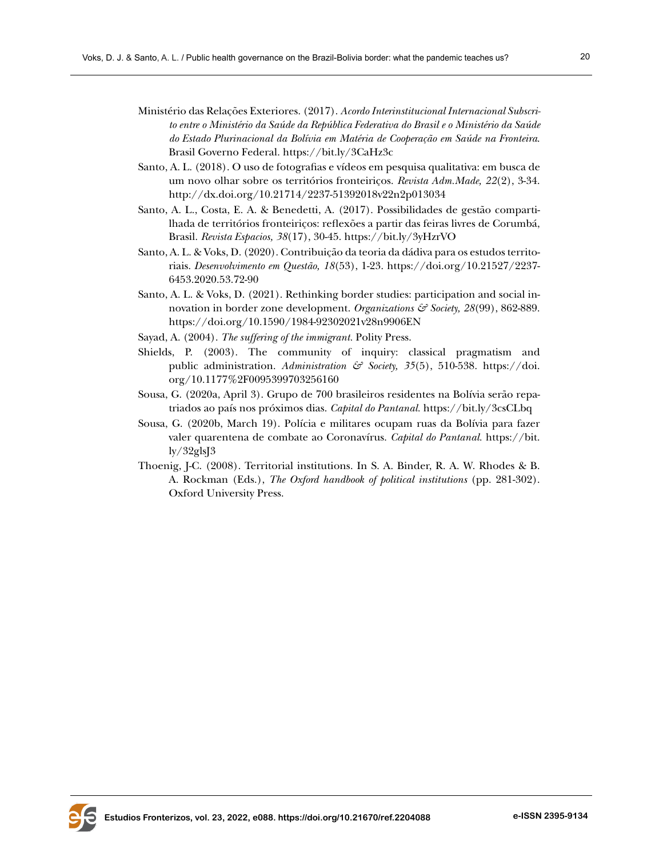- Ministério das Relações Exteriores. (2017). *Acordo Interinstitucional Internacional Subscrito entre o Ministério da Saúde da República Federativa do Brasil e o Ministério da Saúde do Estado Plurinacional da Bolívia em Matéria de Cooperação em Saúde na Fronteira*. Brasil Governo Federal.<https://bit.ly/3CaHz3c>
- Santo, A. L. (2018). O uso de fotografias e vídeos em pesquisa qualitativa: em busca de um novo olhar sobre os territórios fronteiriços. *Revista Adm.Made, 22*(2), 3-34. <http://dx.doi.org/10.21714/2237-51392018v22n2p013034>
- Santo, A. L., Costa, E. A. & Benedetti, A. (2017). Possibilidades de gestão compartilhada de territórios fronteiriços: reflexões a partir das feiras livres de Corumbá, Brasil. *Revista Espacios, 38*(17), 30-45.<https://bit.ly/3yHzrVO>
- Santo, A. L. & Voks, D. (2020). Contribuição da teoria da dádiva para os estudos territoriais. *Desenvolvimento em Questão, 18*(53), 1-23. [https://doi.org/10.21527/2237-](https://doi.org/10.21527/2237-6453.2020.53.72-90) [6453.2020.53.72-90](https://doi.org/10.21527/2237-6453.2020.53.72-90)
- Santo, A. L. & Voks, D. (2021). Rethinking border studies: participation and social innovation in border zone development. *Organizations & Society, 28*(99), 862-889. <https://doi.org/10.1590/1984-92302021v28n9906EN>
- Sayad, A. (2004). *The suffering of the immigrant.* Polity Press.
- Shields, P. (2003). The community of inquiry: classical pragmatism and public administration. *Administration & Society, 35*(5), 510-538. [https://doi.](https://doi.org/10.1177%2F0095399703256160) [org/10.1177%2F0095399703256160](https://doi.org/10.1177%2F0095399703256160)
- Sousa, G. (2020a, April 3). Grupo de 700 brasileiros residentes na Bolívia serão repatriados ao país nos próximos dias. *Capital do Pantanal.* <https://bit.ly/3csCLbq>
- Sousa, G. (2020b, March 19). Polícia e militares ocupam ruas da Bolívia para fazer valer quarentena de combate ao Coronavírus. *Capital do Pantanal.* [https://bit.](https://bit.ly/32glsJ3) [ly/32glsJ3](https://bit.ly/32glsJ3)
- Thoenig, J-C. (2008). Territorial institutions. In S. A. Binder, R. A. W. Rhodes & B. A. Rockman (Eds.), *The Oxford handbook of political institutions* (pp. 281-302). Oxford University Press.